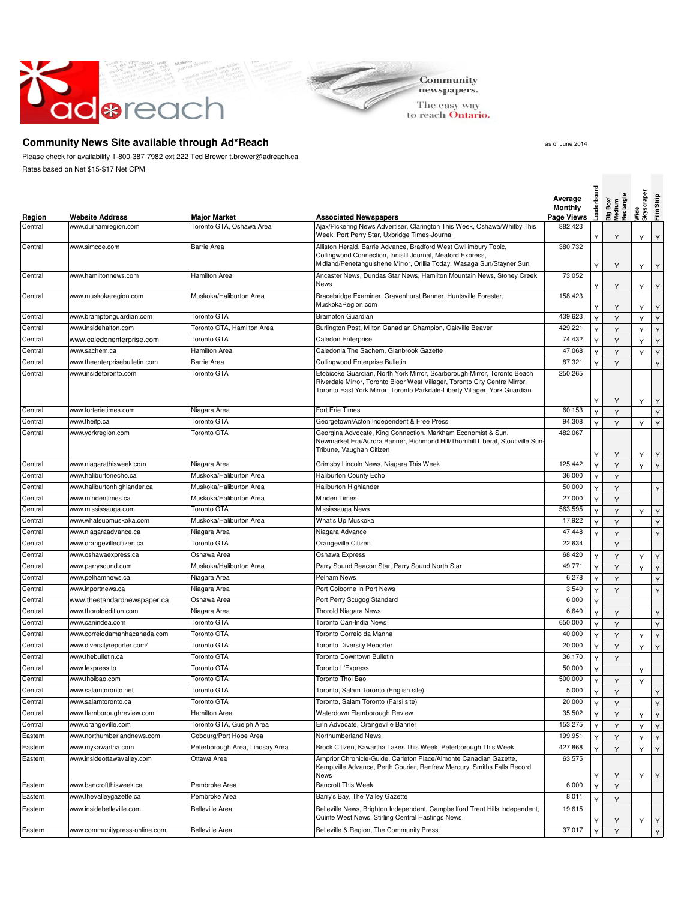



The easy way<br>to reach **Ontario.** 

## **Community News Site available through Ad\*Reach** and the state of the state as of June 2014

Please check for availability 1-800-387-7982 ext 222 Ted Brewer t.brewer@adreach.ca Rates based on Net \$15-\$17 Net CPM

| Region  | <b>Website Address</b>        | <b>Major Market</b>             | <b>Associated Newspapers</b>                                                                                                                                                                                                         | Average<br><b>Monthly</b><br>Page Views | Leaderboa | Big Box/<br>Medium<br>Rectangle | Skyscraper<br>Wide | Film Strip  |
|---------|-------------------------------|---------------------------------|--------------------------------------------------------------------------------------------------------------------------------------------------------------------------------------------------------------------------------------|-----------------------------------------|-----------|---------------------------------|--------------------|-------------|
| Central | www.durhamregion.com          | Toronto GTA, Oshawa Area        | Ajax/Pickering News Advertiser, Clarington This Week, Oshawa/Whitby This<br>Week, Port Perry Star, Uxbridge Times-Journal                                                                                                            | 882,423                                 | Υ         | Y                               | Y                  | Υ           |
| Central | www.simcoe.com                | <b>Barrie Area</b>              | Alliston Herald, Barrie Advance, Bradford West Gwillimbury Topic,<br>Collingwood Connection, Innisfil Journal, Meaford Express,<br>Midland/Penetanguishene Mirror, Orillia Today, Wasaga Sun/Stayner Sun                             | 380,732                                 |           |                                 |                    |             |
| Central | www.hamiltonnews.com          | <b>Hamilton Area</b>            | Ancaster News, Dundas Star News, Hamilton Mountain News, Stoney Creek<br>News                                                                                                                                                        | 73,052                                  | Y         | Υ                               | Y                  | Y           |
| Central | www.muskokaregion.com         | Muskoka/Haliburton Area         | Bracebridge Examiner, Gravenhurst Banner, Huntsville Forester,<br>MuskokaRegion.com                                                                                                                                                  | 158,423                                 | Y<br>Y    | Υ<br>Y                          | Y                  | Υ           |
| Central | www.bramptonquardian.com      | Toronto GTA                     | <b>Brampton Guardian</b>                                                                                                                                                                                                             | 439,623                                 | Y         | Y                               | Y<br>Y             | Υ<br>Υ      |
| Central | www.insidehalton.com          | Toronto GTA, Hamilton Area      | Burlington Post, Milton Canadian Champion, Oakville Beaver                                                                                                                                                                           | 429,221                                 | Y         | Y                               | Y                  | Υ           |
| Central | www.caledonenterprise.com     | <b>Toronto GTA</b>              | Caledon Enterprise                                                                                                                                                                                                                   | 74,432                                  | Y         | Y                               | Y                  | Y           |
| Central | www.sachem.ca                 | <b>Hamilton Area</b>            | Caledonia The Sachem, Glanbrook Gazette                                                                                                                                                                                              | 47,068                                  | Y         | Y                               | Y                  | Υ           |
| Central | www.theenterprisebulletin.com | <b>Barrie Area</b>              | Collingwood Enterprise Bulletin                                                                                                                                                                                                      | 87,321                                  | Y         | Y                               |                    | Υ           |
| Central | www.insidetoronto.com         | <b>Toronto GTA</b>              | Etobicoke Guardian, North York Mirror, Scarborough Mirror, Toronto Beach<br>Riverdale Mirror, Toronto Bloor West Villager, Toronto City Centre Mirror,<br>Toronto East York Mirror, Toronto Parkdale-Liberty Villager, York Guardian | 250,265                                 | Υ         | Υ                               | Y                  | Υ           |
| Central | www.forterietimes.com         | Niagara Area                    | Fort Erie Times                                                                                                                                                                                                                      | 60,153                                  | Υ         | Y                               |                    | Y           |
| Central | www.theifp.ca                 | Toronto GTA                     | Georgetown/Acton Independent & Free Press                                                                                                                                                                                            | 94,308                                  | Y         | Y                               | Y                  | Y           |
| Central | www.yorkregion.com            | <b>Toronto GTA</b>              | Georgina Advocate, King Connection, Markham Economist & Sun,<br>Newmarket Era/Aurora Banner, Richmond Hill/Thornhill Liberal, Stouffville Sun-<br>Tribune, Vaughan Citizen                                                           | 482,067                                 | Y         | Y                               | Υ                  | Υ           |
| Central | www.niagarathisweek.com       | Niagara Area                    | Grimsby Lincoln News, Niagara This Week                                                                                                                                                                                              | 125,442                                 | Y         | Y                               | Y                  | Υ           |
| Central | www.haliburtonecho.ca         | Muskoka/Haliburton Area         | Haliburton County Echo                                                                                                                                                                                                               | 36,000                                  | Y         | Y                               |                    |             |
| Central | www.haliburtonhighlander.ca   | Muskoka/Haliburton Area         | Haliburton Highlander                                                                                                                                                                                                                | 50,000                                  | Y         | Y                               |                    | Y           |
| Central | www.mindentimes.ca            | Muskoka/Haliburton Area         | Minden Times                                                                                                                                                                                                                         | 27,000                                  | Y         | Y                               |                    |             |
| Central | www.mississauga.com           | <b>Toronto GTA</b>              | Mississauga News                                                                                                                                                                                                                     | 563,595                                 | Y         | Y                               | Y                  | Υ           |
| Central | www.whatsupmuskoka.com        | Muskoka/Haliburton Area         | What's Up Muskoka                                                                                                                                                                                                                    | 17,922                                  | Y         | Y                               |                    | Y           |
| Central | www.niagaraadvance.ca         | Niagara Area                    | Niagara Advance                                                                                                                                                                                                                      | 47,448                                  | Y         | Y                               |                    | Υ           |
| Central | www.orangevillecitizen.ca     | <b>Toronto GTA</b>              | Orangeville Citizen                                                                                                                                                                                                                  | 22,634                                  |           | Y                               |                    |             |
| Central | www.oshawaexpress.ca          | Oshawa Area                     | Oshawa Express                                                                                                                                                                                                                       | 68,420                                  | Y         | Y                               | Y                  | Y           |
| Central | www.parrysound.com            | Muskoka/Haliburton Area         | Parry Sound Beacon Star, Parry Sound North Star                                                                                                                                                                                      | 49,771                                  | Y         | Y                               | Y                  | Υ           |
| Central | www.pelhamnews.ca             | Niagara Area                    | Pelham News                                                                                                                                                                                                                          | 6,278                                   | Υ         | Y                               |                    | Υ           |
| Central | www.inportnews.ca             | Niagara Area                    | Port Colborne In Port News                                                                                                                                                                                                           | 3,540                                   | Y         | Y                               |                    | Υ           |
| Central | www.thestandardnewspaper.ca   | Oshawa Area                     | Port Perry Scugog Standard                                                                                                                                                                                                           | 6,000                                   | Y         |                                 |                    |             |
| Central | www.thoroldedition.com        | Niagara Area                    | <b>Thorold Niagara News</b>                                                                                                                                                                                                          | 6,640                                   | Y         | Y                               |                    | Υ           |
| Central | www.canindea.com              | Toronto GTA                     | Toronto Can-India News                                                                                                                                                                                                               | 650,000                                 | Y         | Y                               |                    | Y           |
| Central | www.correiodamanhacanada.com  | Toronto GTA                     | Toronto Correio da Manha                                                                                                                                                                                                             | 40,000                                  | Y         | Y                               | Y                  | Υ           |
| Central | www.diversityreporter.com/    | <b>Toronto GTA</b>              | <b>Toronto Diversity Reporter</b>                                                                                                                                                                                                    | 20,000                                  | Y         | Y                               | Y                  | Y           |
| Central | www.thebulletin.ca            | Toronto GTA                     | Toronto Downtown Bulletin                                                                                                                                                                                                            | 36,170                                  | Y         | Y                               |                    |             |
| Central | www.lexpress.to               | <b>Toronto GTA</b>              | Toronto L'Express                                                                                                                                                                                                                    | 50,000                                  | Y         |                                 | Y                  |             |
| Central | www.thoibao.com               | Toronto GTA                     | Toronto Thoi Bao                                                                                                                                                                                                                     | 500,000                                 | Y         | Y                               | Υ                  |             |
| Central | www.salamtoronto.net          | <b>Toronto GTA</b>              | Toronto, Salam Toronto (English site)                                                                                                                                                                                                | 5,000                                   | Y         | Y                               |                    | Y           |
| Central | www.salamtoronto.ca           | <b>Toronto GTA</b>              | Toronto, Salam Toronto (Farsi site)                                                                                                                                                                                                  | 20,000                                  | Υ         | Y                               |                    | Υ           |
| Central | www.flamboroughreview.com     | Hamilton Area                   | Waterdown Flamborough Review                                                                                                                                                                                                         | 35,502                                  | Y         | Υ                               | Y                  | Υ           |
| Central | www.orangeville.com           | Toronto GTA, Guelph Area        | Erin Advocate, Orangeville Banner                                                                                                                                                                                                    | 153,275                                 | Υ         | Y                               | Y                  | Y           |
| Eastern | www.northumberlandnews.com    | Cobourg/Port Hope Area          | Northumberland News                                                                                                                                                                                                                  | 199,951                                 | Υ         | Y                               | Υ                  | Υ           |
| Eastern | www.mykawartha.com            | Peterborough Area, Lindsay Area | Brock Citizen, Kawartha Lakes This Week, Peterborough This Week                                                                                                                                                                      | 427,868                                 | Υ         | Y                               | Y                  | Υ           |
| Eastern | www.insideottawavalley.com    | Ottawa Area                     | Arnprior Chronicle-Guide, Carleton Place/Almonte Canadian Gazette,<br>Kemptville Advance, Perth Courier, Renfrew Mercury, Smiths Falls Record<br>News                                                                                | 63,575                                  | Υ         | Υ                               | Y                  | Υ           |
| Eastern | www.bancroftthisweek.ca       | Pembroke Area                   | <b>Bancroft This Week</b>                                                                                                                                                                                                            | 6,000                                   | Υ         | Y                               |                    |             |
| Eastern | www.thevalleygazette.ca       | Pembroke Area                   | Barry's Bay, The Valley Gazette                                                                                                                                                                                                      | 8,011                                   | Y         | Y                               |                    |             |
| Eastern | www.insidebelleville.com      | <b>Belleville Area</b>          | Belleville News, Brighton Independent, Campbellford Trent Hills Independent,<br>Quinte West News, Stirling Central Hastings News                                                                                                     | 19,615                                  |           | Υ                               | Y                  | Y           |
| Eastern | www.communitypress-online.com | <b>Belleville Area</b>          | Belleville & Region, The Community Press                                                                                                                                                                                             | 37,017                                  | Υ         | Y                               |                    | $\mathsf Y$ |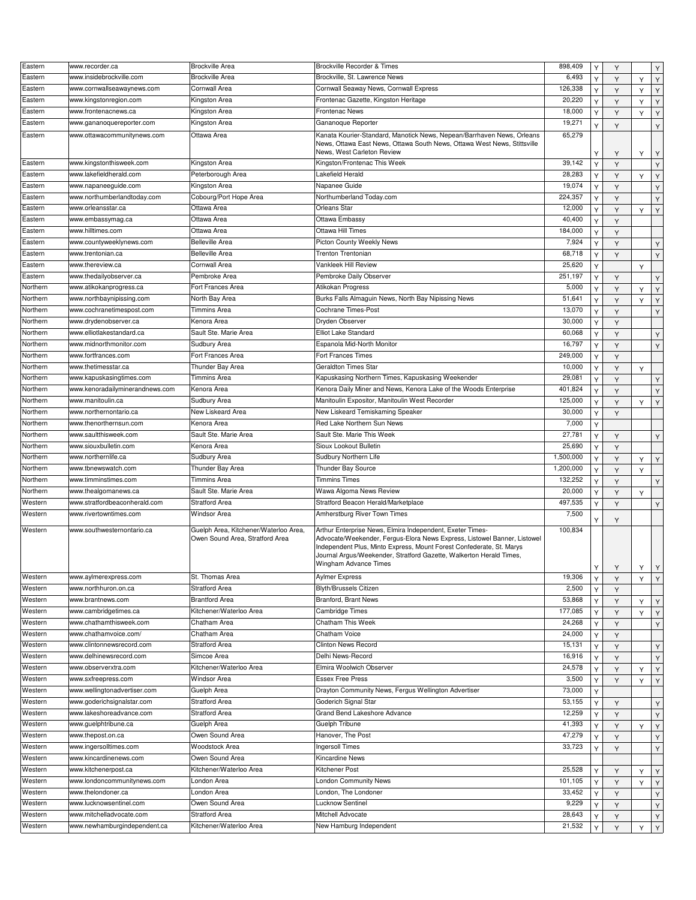| Eastern            | www.recorder.ca                                      | <b>Brockville Area</b>                                | Brockville Recorder & Times                                                                                                                                                                                             | 898,409          | Y      | Y      |   | Υ                |
|--------------------|------------------------------------------------------|-------------------------------------------------------|-------------------------------------------------------------------------------------------------------------------------------------------------------------------------------------------------------------------------|------------------|--------|--------|---|------------------|
| Eastern            | www.insidebrockville.com                             | <b>Brockville Area</b>                                | Brockville, St. Lawrence News                                                                                                                                                                                           | 6,493            |        |        |   |                  |
|                    |                                                      |                                                       |                                                                                                                                                                                                                         |                  | Y      | Y      | Y | Y                |
| Eastern            | www.cornwallseawaynews.com                           | Cornwall Area                                         | Cornwall Seaway News, Cornwall Express                                                                                                                                                                                  | 126,338          | Υ      | Y      | Y | Y                |
| Eastern            | www.kingstonregion.com                               | Kingston Area                                         | Frontenac Gazette, Kingston Heritage                                                                                                                                                                                    | 20,220           | Y      | Y      | Y | Υ                |
| Eastern            | www.frontenacnews.ca                                 | Kingston Area                                         | Frontenac News                                                                                                                                                                                                          | 18,000           | Y      | Y      | Y | Y                |
| Eastern            | www.gananoquereporter.com                            | Kingston Area                                         | Gananoque Reporter                                                                                                                                                                                                      | 19,271           | Y      | Y      |   | Υ                |
| Eastern            | www.ottawacommunitynews.com                          | Ottawa Area                                           | Kanata Kourier-Standard, Manotick News, Nepean/Barrhaven News, Orleans<br>News, Ottawa East News, Ottawa South News, Ottawa West News, Stittsville                                                                      | 65,279           |        |        |   |                  |
|                    |                                                      |                                                       | News, West Carleton Review                                                                                                                                                                                              |                  | Υ      | Y      | Y | Υ                |
| Eastern            | www.kingstonthisweek.com                             | Kingston Area                                         | Kingston/Frontenac This Week                                                                                                                                                                                            | 39,142           | Y      | Y      |   | Υ                |
| Eastern            | www.lakefieldherald.com                              | Peterborough Area                                     | Lakefield Herald                                                                                                                                                                                                        | 28,283           | Y      | Y      | Y | Y                |
| Eastern            | www.napaneeguide.com                                 | Kingston Area                                         | Napanee Guide                                                                                                                                                                                                           | 19,074           | Y      | Y      |   | Υ                |
| Eastern            | www.northumberlandtoday.com                          | Cobourg/Port Hope Area                                | Northumberland Today.com                                                                                                                                                                                                | 224,357          | Υ      | Υ      |   | Y                |
| Eastern            | www.orleansstar.ca                                   | Ottawa Area                                           | Orleans Star                                                                                                                                                                                                            | 12,000           | Y      | Y      | Y | Y                |
| Eastern            | www.embassymag.ca                                    | Ottawa Area                                           | Ottawa Embassy                                                                                                                                                                                                          | 40,400           |        |        |   |                  |
|                    |                                                      |                                                       |                                                                                                                                                                                                                         |                  | Y      | Y      |   |                  |
| Eastern            | www.hilltimes.com                                    | Ottawa Area                                           | Ottawa Hill Times                                                                                                                                                                                                       | 184,000          | Υ      | Υ      |   |                  |
| Eastern            | www.countyweeklynews.com                             | <b>Belleville Area</b>                                | Picton County Weekly News                                                                                                                                                                                               | 7,924            | Y      | Y      |   | Υ                |
| Eastern            | www.trentonian.ca                                    | <b>Belleville Area</b>                                | Trenton Trentonian                                                                                                                                                                                                      | 68,718           | Y      | Y      |   | Υ                |
| Eastern            | www.thereview.ca                                     | Cornwall Area                                         | Vankleek Hill Review                                                                                                                                                                                                    | 25,620           | Υ      |        | Y |                  |
| Eastern            | www.thedailyobserver.ca                              | Pembroke Area                                         | Pembroke Daily Observer                                                                                                                                                                                                 | 251,197          | Y      | Y      |   | Y                |
| Northern           | www.atikokanprogress.ca                              | Fort Frances Area                                     | Atikokan Progress                                                                                                                                                                                                       | 5,000            | Y      |        |   |                  |
|                    |                                                      | North Bay Area                                        |                                                                                                                                                                                                                         | 51,641           |        | Y      | Y | Υ                |
| Northern           | www.northbaynipissing.com                            |                                                       | Burks Falls Almaguin News, North Bay Nipissing News                                                                                                                                                                     |                  | Y      | Y      | Y | Y                |
| Northern           | www.cochranetimespost.com                            | Timmins Area                                          | Cochrane Times-Post                                                                                                                                                                                                     | 13,070           | Y      | Y      |   | Υ                |
| Northern           | www.drydenobserver.ca                                | Kenora Area                                           | Dryden Observer                                                                                                                                                                                                         | 30,000           | Υ      | Y      |   |                  |
| Northern           | www.elliotlakestandard.ca                            | Sault Ste. Marie Area                                 | Elliot Lake Standard                                                                                                                                                                                                    | 60,068           | Y      | Y      |   | Υ                |
| Northern           | www.midnorthmonitor.com                              | Sudbury Area                                          | Espanola Mid-North Monitor                                                                                                                                                                                              | 16,797           | Y      | Y      |   | Υ                |
| Northern           | www.fortfrances.com                                  | Fort Frances Area                                     | Fort Frances Times                                                                                                                                                                                                      | 249,000          | Υ      | Y      |   |                  |
| Northern           | www.thetimesstar.ca                                  | Thunder Bay Area                                      | <b>Geraldton Times Star</b>                                                                                                                                                                                             | 10,000           | Y      |        |   |                  |
| Northern           | www.kapuskasingtimes.com                             | Timmins Area                                          | Kapuskasing Northern Times, Kapuskasing Weekender                                                                                                                                                                       | 29,081           |        | Y      | Υ |                  |
|                    |                                                      |                                                       |                                                                                                                                                                                                                         |                  | Y      | Y      |   | Y                |
| Northern           | www.kenoradailyminerandnews.com                      | Kenora Area                                           | Kenora Daily Miner and News, Kenora Lake of the Woods Enterprise                                                                                                                                                        | 401,824          | Υ      | Y      |   | Υ                |
| Northern           | www.manitoulin.ca                                    | Sudbury Area                                          | Manitoulin Expositor, Manitoulin West Recorder                                                                                                                                                                          | 125,000          | Y      | Y      | Y | Υ                |
| Northern           | www.northernontario.ca                               | New Liskeard Area                                     | New Liskeard Temiskaming Speaker                                                                                                                                                                                        | 30,000           | Y      | Y      |   |                  |
| Northern           | www.thenorthernsun.com                               | Kenora Area                                           | Red Lake Northern Sun News                                                                                                                                                                                              | 7,000            | Y      |        |   |                  |
| Northern           | www.saultthisweek.com                                | Sault Ste. Marie Area                                 | Sault Ste. Marie This Week                                                                                                                                                                                              | 27,781           | Y      | Υ      |   | Υ                |
| Northern           | www.siouxbulletin.com                                | Kenora Area                                           | Sioux Lookout Bulletin                                                                                                                                                                                                  | 25,690           |        |        |   |                  |
|                    |                                                      |                                                       |                                                                                                                                                                                                                         |                  |        |        |   |                  |
|                    |                                                      |                                                       |                                                                                                                                                                                                                         |                  | Y      | Y      |   |                  |
| Northern           | www.northernlife.ca                                  | Sudbury Area                                          | Sudbury Northern Life                                                                                                                                                                                                   | 1,500,000        | Y      | Y      | Y | Y                |
| Northern           | www.tbnewswatch.com                                  | Thunder Bay Area                                      | Thunder Bay Source                                                                                                                                                                                                      | 1,200,000        | Y      | Y      | Y |                  |
| Northern           | www.timminstimes.com                                 | Timmins Area                                          | <b>Timmins Times</b>                                                                                                                                                                                                    | 132,252          | Y      | Y      |   | Υ                |
| Northern           | www.thealgomanews.ca                                 | Sault Ste. Marie Area                                 | Wawa Algoma News Review                                                                                                                                                                                                 | 20,000           | Y      | Y      | Y |                  |
| Western            | www.stratfordbeaconherald.com                        | <b>Stratford Area</b>                                 | Stratford Beacon Herald/Marketplace                                                                                                                                                                                     | 497,535          | Y      | Y      |   |                  |
|                    |                                                      |                                                       |                                                                                                                                                                                                                         |                  |        |        |   | Υ                |
| Western<br>Western | www.rivertowntimes.com<br>www.southwesternontario.ca | Windsor Area<br>Guelph Area. Kitchener/Waterloo Area. | Amherstburg River Town Times<br>Arthur Enterprise News, Elmira Independent, Exeter Times-                                                                                                                               | 7,500<br>100,834 | Y      | Y      |   |                  |
|                    |                                                      | Owen Sound Area, Stratford Area                       | Advocate/Weekender, Fergus-Elora News Express, Listowel Banner, Listowel<br>Independent Plus, Minto Express, Mount Forest Confederate, St. Marys<br>Journal Argus/Weekender, Stratford Gazette, Walkerton Herald Times, |                  |        |        |   |                  |
|                    |                                                      |                                                       | Wingham Advance Times                                                                                                                                                                                                   |                  |        |        |   |                  |
|                    |                                                      |                                                       |                                                                                                                                                                                                                         |                  | Y      | Y      | Y | $\mathsf{Y}$     |
| Western            | www.aylmerexpress.com                                | St. Thomas Area                                       | Aylmer Express                                                                                                                                                                                                          | 19,306           | Υ      | Y      | Y | Y                |
| Western            | www.northhuron.on.ca                                 | <b>Stratford Area</b>                                 | <b>Blyth/Brussels Citizen</b>                                                                                                                                                                                           | 2,500            | Y      | Y      |   |                  |
| Western            | www.brantnews.com                                    | <b>Brantford Area</b>                                 | <b>Branford, Brant News</b>                                                                                                                                                                                             | 53,868           | Y      | Y      | Y | Y                |
| Western            | www.cambridgetimes.ca                                | Kitchener/Waterloo Area                               | Cambridge Times                                                                                                                                                                                                         | 177,085          | Υ      | Υ      | Y | Y                |
| Western            | www.chathamthisweek.com                              | Chatham Area                                          | Chatham This Week                                                                                                                                                                                                       | 24,268           | Y      | Y      |   | Υ                |
| Western            | www.chathamvoice.com/                                | Chatham Area                                          | Chatham Voice                                                                                                                                                                                                           | 24,000           | Y      | Y      |   |                  |
| Western            | www.clintonnewsrecord.com                            | <b>Stratford Area</b>                                 | Clinton News Record                                                                                                                                                                                                     | 15,131           | Υ      | Y      |   |                  |
| Western            | www.delhinewsrecord.com                              | Simcoe Area                                           | Delhi News-Record                                                                                                                                                                                                       |                  | Y      |        |   | Υ                |
|                    |                                                      |                                                       |                                                                                                                                                                                                                         | 16,916           |        | Y      |   | Y                |
| Western            | www.observerxtra.com                                 | Kitchener/Waterloo Area                               | Elmira Woolwich Observer                                                                                                                                                                                                | 24,578           | Y      | Υ      | Y | Y                |
| Western            | www.sxfreepress.com                                  | Windsor Area                                          | Essex Free Press                                                                                                                                                                                                        | 3,500            | Υ      | Y      | Y | Υ                |
| Western            | www.wellingtonadvertiser.com                         | Guelph Area                                           | Drayton Community News, Fergus Wellington Advertiser                                                                                                                                                                    | 73,000           | Y      |        |   |                  |
| Western            | www.goderichsignalstar.com                           | <b>Stratford Area</b>                                 | Goderich Signal Star                                                                                                                                                                                                    | 53,155           | Υ      | Y      |   | Υ                |
| Western            | www.lakeshoreadvance.com                             | <b>Stratford Area</b>                                 | Grand Bend Lakeshore Advance                                                                                                                                                                                            | 12,259           | Υ      | Y      |   | Y                |
| Western            | www.guelphtribune.ca                                 | Guelph Area                                           | Guelph Tribune                                                                                                                                                                                                          | 41,393           | Y      | Y      | Y |                  |
| Western            | www.thepost.on.ca                                    | Owen Sound Area                                       | Hanover, The Post                                                                                                                                                                                                       | 47,279           |        |        |   | $\mathsf Y$      |
|                    |                                                      |                                                       |                                                                                                                                                                                                                         |                  | Υ      | Y      |   | Υ                |
| Western            | www.ingersolltimes.com                               | Woodstock Area                                        | Ingersoll Times                                                                                                                                                                                                         | 33,723           | Υ      | Y      |   | Υ                |
| Western            | www.kincardinenews.com                               | Owen Sound Area                                       | Kincardine News                                                                                                                                                                                                         |                  |        |        |   |                  |
| Western            | www.kitchenerpost.ca                                 | Kitchener/Waterloo Area                               | Kitchener Post                                                                                                                                                                                                          | 25,528           | Υ      | Y      | Y | Y                |
| Western            | www.londoncommunitynews.com                          | London Area                                           | London Community News                                                                                                                                                                                                   | 101,105          | Υ      | Y      | Y | Υ                |
| Western            | www.thelondoner.ca                                   | London Area                                           | London, The Londoner                                                                                                                                                                                                    | 33,452           | Y      | Y      |   | Υ                |
| Western            | www.lucknowsentinel.com                              | Owen Sound Area                                       | Lucknow Sentinel                                                                                                                                                                                                        | 9,229            | Υ      | Υ      |   |                  |
| Western            | www.mitchelladvocate.com                             | <b>Stratford Area</b>                                 | Mitchell Advocate                                                                                                                                                                                                       | 28,643           |        |        |   | Y                |
| Western            | www.newhamburgindependent.ca                         | Kitchener/Waterloo Area                               | New Hamburg Independent                                                                                                                                                                                                 | 21,532           | Y<br>Υ | Y<br>Y | Y | Y<br>$\mathsf Y$ |